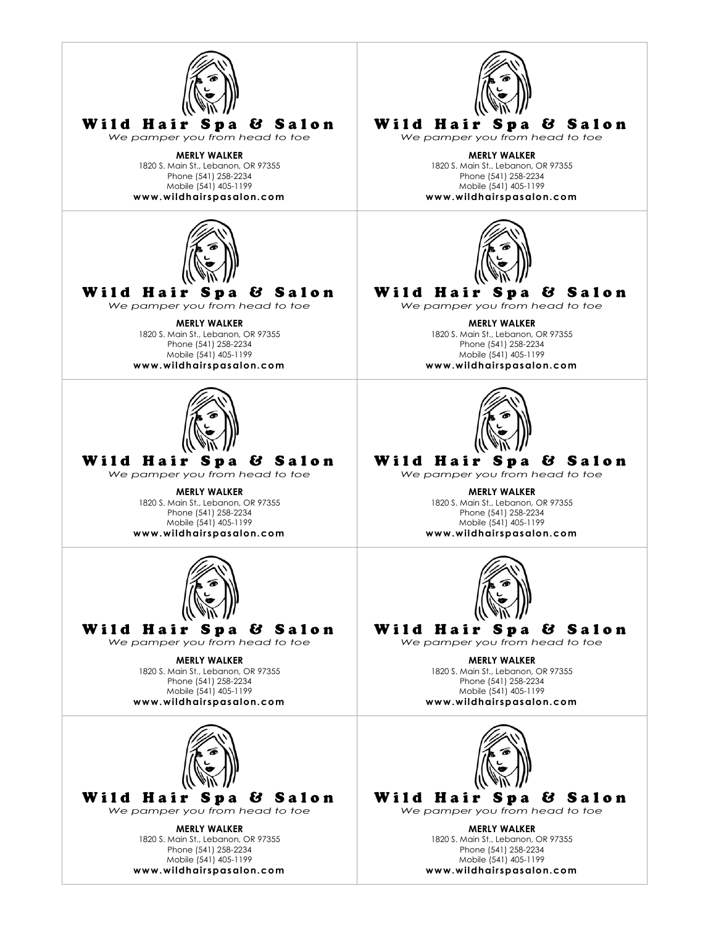